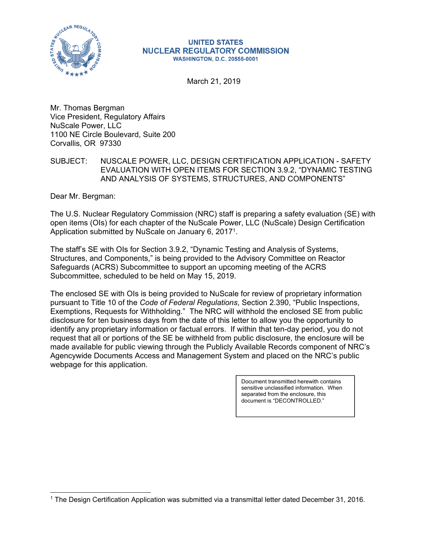

#### **UNITED STATES NUCLEAR REGULATORY COMMISSION WASHINGTON, D.C. 20555-0001**

March 21, 2019

Mr. Thomas Bergman Vice President, Regulatory Affairs NuScale Power, LLC 1100 NE Circle Boulevard, Suite 200 Corvallis, OR 97330

# SUBJECT: NUSCALE POWER, LLC, DESIGN CERTIFICATION APPLICATION - SAFETY EVALUATION WITH OPEN ITEMS FOR SECTION 3.9.2, "DYNAMIC TESTING AND ANALYSIS OF SYSTEMS, STRUCTURES, AND COMPONENTS"

Dear Mr. Bergman:

 $\overline{a}$ 

The U.S. Nuclear Regulatory Commission (NRC) staff is preparing a safety evaluation (SE) with open items (OIs) for each chapter of the NuScale Power, LLC (NuScale) Design Certification Application submitted by NuScale on January 6, 2017<sup>1</sup>.

The staff's SE with OIs for Section 3.9.2, "Dynamic Testing and Analysis of Systems, Structures, and Components," is being provided to the Advisory Committee on Reactor Safeguards (ACRS) Subcommittee to support an upcoming meeting of the ACRS Subcommittee, scheduled to be held on May 15, 2019.

The enclosed SE with OIs is being provided to NuScale for review of proprietary information pursuant to Title 10 of the *Code of Federal Regulations*, Section 2.390, "Public Inspections, Exemptions, Requests for Withholding." The NRC will withhold the enclosed SE from public disclosure for ten business days from the date of this letter to allow you the opportunity to identify any proprietary information or factual errors. If within that ten-day period, you do not request that all or portions of the SE be withheld from public disclosure, the enclosure will be made available for public viewing through the Publicly Available Records component of NRC's Agencywide Documents Access and Management System and placed on the NRC's public webpage for this application.

> Document transmitted herewith contains sensitive unclassified information. When separated from the enclosure, this document is "DECONTROLLED."

<sup>1</sup> The Design Certification Application was submitted via a transmittal letter dated December 31, 2016.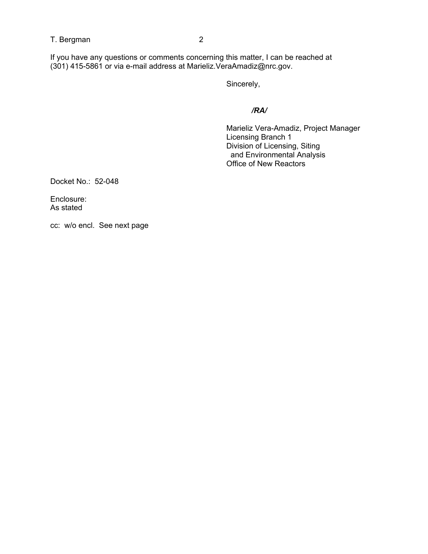## T. Bergman 2

If you have any questions or comments concerning this matter, I can be reached at (301) 415-5861 or via e-mail address at Marieliz.VeraAmadiz@nrc.gov.

Sincerely,

*/RA/* 

 Marieliz Vera-Amadiz, Project Manager Licensing Branch 1 Division of Licensing, Siting and Environmental Analysis Office of New Reactors

Docket No.: 52-048

Enclosure: As stated

cc: w/o encl. See next page